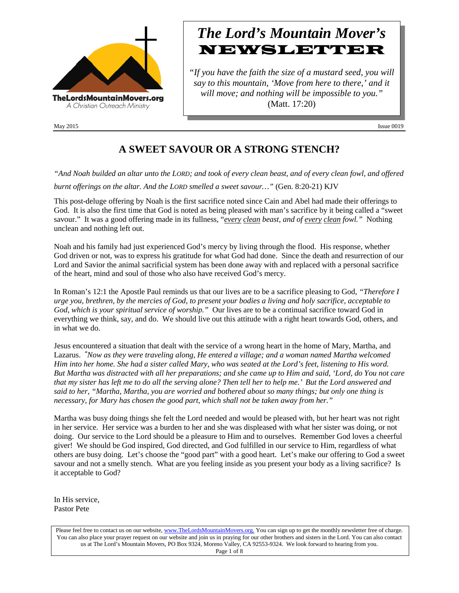

# *The Lord's Mountain Mover's* **NEWSLETTER**

*"If you have the faith the size of a mustard seed, you will say to this mountain, 'Move from here to there,' and it will move; and nothing will be impossible to you."* (Matt. 17:20)

May  $2015$  Issue 0019

## **A SWEET SAVOUR OR A STRONG STENCH?**

*"And Noah builded an altar unto the LORD; and took of every clean beast, and of every clean fowl, and offered burnt offerings on the altar. And the LORD smelled a sweet savour…"* (Gen. 8:20-21) KJV

This post-deluge offering by Noah is the first sacrifice noted since Cain and Abel had made their offerings to God. It is also the first time that God is noted as being pleased with man's sacrifice by it being called a "sweet savour." It was a good offering made in its fullness, "*every clean beast, and of every clean fowl."* Nothing unclean and nothing left out.

Noah and his family had just experienced God's mercy by living through the flood. His response, whether God driven or not, was to express his gratitude for what God had done. Since the death and resurrection of our Lord and Savior the animal sacrificial system has been done away with and replaced with a personal sacrifice of the heart, mind and soul of those who also have received God's mercy.

In Roman's 12:1 the Apostle Paul reminds us that our lives are to be a sacrifice pleasing to God, *"Therefore I urge you, brethren, by the mercies of God, to present your bodies a living and holy sacrifice, acceptable to God, which is your spiritual service of worship."* Our lives are to be a continual sacrifice toward God in everything we think, say, and do. We should live out this attitude with a right heart towards God, others, and in what we do.

Jesus encountered a situation that dealt with the service of a wrong heart in the home of Mary, Martha, and Lazarus. *" Now as they were traveling along, He entered a village; and a woman named Martha welcomed Him into her home. She had a sister called Mary, who was seated at the Lord's feet, listening to His word. But Martha was distracted with all her preparations; and she came up to Him and said, 'Lord, do You not care that my sister has left me to do all the serving alone? Then tell her to help me.' But the Lord answered and said to her, "Martha, Martha, you are worried and bothered about so many things; but only one thing is necessary, for Mary has chosen the good part, which shall not be taken away from her."*

Martha was busy doing things she felt the Lord needed and would be pleased with, but her heart was not right in her service. Her service was a burden to her and she was displeased with what her sister was doing, or not doing. Our service to the Lord should be a pleasure to Him and to ourselves. Remember God loves a cheerful giver! We should be God inspired, God directed, and God fulfilled in our service to Him, regardless of what others are busy doing. Let's choose the "good part" with a good heart. Let's make our offering to God a sweet savour and not a smelly stench. What are you feeling inside as you present your body as a living sacrifice? Is it acceptable to God?

In His service, Pastor Pete

Please feel free to contact us on our website, ww[w.TheLordsMountainMovers.o](http://www.thelordsmountainmovers.org/)rg. You can sign up to get the monthly newsletter free of charge. You can also place your prayer request on our website and join us in praying for our other brothers and sisters in the Lord. You can also contact us at The Lord's Mountain Movers, PO Box 9324, Moreno Valley, CA 92553-9324. We look forward to hearing from you. Page 1 of 8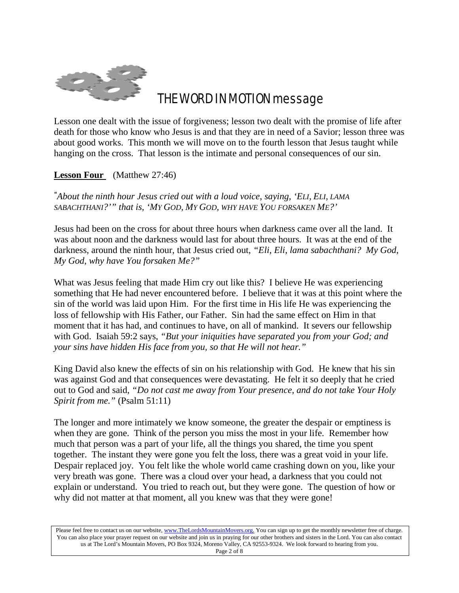

# THE WORD IN MOTION message

Lesson one dealt with the issue of forgiveness; lesson two dealt with the promise of life after death for those who know who Jesus is and that they are in need of a Savior; lesson three was about good works. This month we will move on to the fourth lesson that Jesus taught while hanging on the cross. That lesson is the intimate and personal consequences of our sin.

**Lesson Four** (Matthew 27:46)

*" About the ninth hour Jesus cried out with a loud voice, saying, 'ELI, ELI, LAMA SABACHTHANI?'" that is, 'MY GOD, MY GOD, WHY HAVE YOU FORSAKEN ME?'*

Jesus had been on the cross for about three hours when darkness came over all the land. It was about noon and the darkness would last for about three hours. It was at the end of the darkness, around the ninth hour, that Jesus cried out, *"Eli, Eli, lama sabachthani? My God, My God, why have You forsaken Me?"*

What was Jesus feeling that made Him cry out like this? I believe He was experiencing something that He had never encountered before. I believe that it was at this point where the sin of the world was laid upon Him. For the first time in His life He was experiencing the loss of fellowship with His Father, our Father. Sin had the same effect on Him in that moment that it has had, and continues to have, on all of mankind. It severs our fellowship with God. Isaiah 59:2 says, *"But your iniquities have separated you from your God; and your sins have hidden His face from you, so that He will not hear."*

King David also knew the effects of sin on his relationship with God. He knew that his sin was against God and that consequences were devastating. He felt it so deeply that he cried out to God and said, *"Do not cast me away from Your presence, and do not take Your Holy Spirit from me."* (Psalm 51:11)

The longer and more intimately we know someone, the greater the despair or emptiness is when they are gone. Think of the person you miss the most in your life. Remember how much that person was a part of your life, all the things you shared, the time you spent together. The instant they were gone you felt the loss, there was a great void in your life. Despair replaced joy. You felt like the whole world came crashing down on you, like your very breath was gone. There was a cloud over your head, a darkness that you could not explain or understand. You tried to reach out, but they were gone. The question of how or why did not matter at that moment, all you knew was that they were gone!

Please feel free to contact us on our website, ww[w.TheLordsMountainMovers.o](http://www.thelordsmountainmovers.org/)rg. You can sign up to get the monthly newsletter free of charge. You can also place your prayer request on our website and join us in praying for our other brothers and sisters in the Lord. You can also contact us at The Lord's Mountain Movers, PO Box 9324, Moreno Valley, CA 92553-9324. We look forward to hearing from you. Page 2 of 8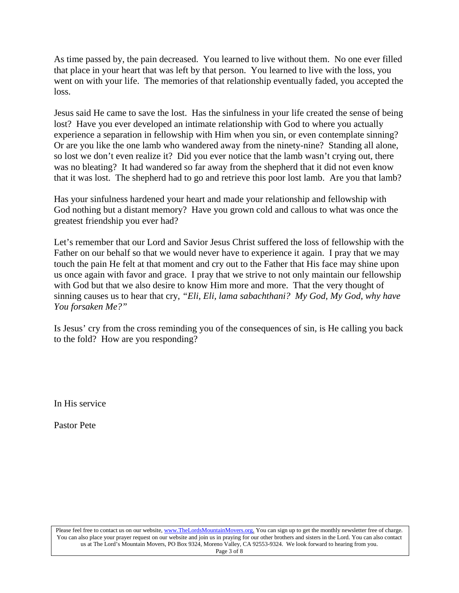As time passed by, the pain decreased. You learned to live without them. No one ever filled that place in your heart that was left by that person. You learned to live with the loss, you went on with your life. The memories of that relationship eventually faded, you accepted the loss.

Jesus said He came to save the lost. Has the sinfulness in your life created the sense of being lost? Have you ever developed an intimate relationship with God to where you actually experience a separation in fellowship with Him when you sin, or even contemplate sinning? Or are you like the one lamb who wandered away from the ninety-nine? Standing all alone, so lost we don't even realize it? Did you ever notice that the lamb wasn't crying out, there was no bleating? It had wandered so far away from the shepherd that it did not even know that it was lost. The shepherd had to go and retrieve this poor lost lamb. Are you that lamb?

Has your sinfulness hardened your heart and made your relationship and fellowship with God nothing but a distant memory? Have you grown cold and callous to what was once the greatest friendship you ever had?

Let's remember that our Lord and Savior Jesus Christ suffered the loss of fellowship with the Father on our behalf so that we would never have to experience it again. I pray that we may touch the pain He felt at that moment and cry out to the Father that His face may shine upon us once again with favor and grace. I pray that we strive to not only maintain our fellowship with God but that we also desire to know Him more and more. That the very thought of sinning causes us to hear that cry, *"Eli, Eli, lama sabachthani? My God, My God, why have You forsaken Me?"*

Is Jesus' cry from the cross reminding you of the consequences of sin, is He calling you back to the fold? How are you responding?

In His service

Pastor Pete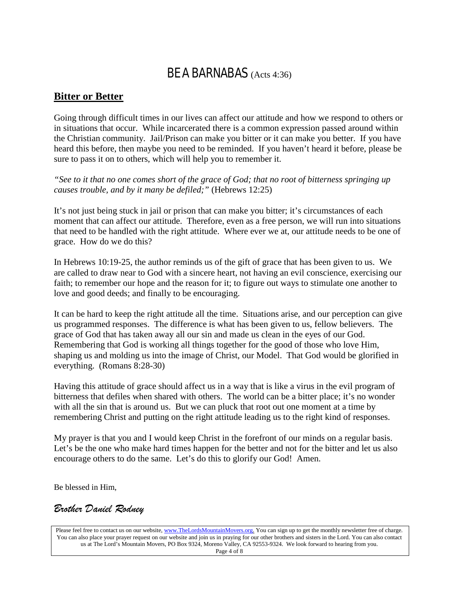## BE A BARNABAS (Acts 4:36)

#### **Bitter or Better**

Going through difficult times in our lives can affect our attitude and how we respond to others or in situations that occur. While incarcerated there is a common expression passed around within the Christian community. Jail/Prison can make you bitter or it can make you better. If you have heard this before, then maybe you need to be reminded. If you haven't heard it before, please be sure to pass it on to others, which will help you to remember it.

*"See to it that no one comes short of the grace of God; that no root of bitterness springing up causes trouble, and by it many be defiled;"* (Hebrews 12:25)

It's not just being stuck in jail or prison that can make you bitter; it's circumstances of each moment that can affect our attitude. Therefore, even as a free person, we will run into situations that need to be handled with the right attitude. Where ever we at, our attitude needs to be one of grace. How do we do this?

In Hebrews 10:19-25, the author reminds us of the gift of grace that has been given to us. We are called to draw near to God with a sincere heart, not having an evil conscience, exercising our faith; to remember our hope and the reason for it; to figure out ways to stimulate one another to love and good deeds; and finally to be encouraging.

It can be hard to keep the right attitude all the time. Situations arise, and our perception can give us programmed responses. The difference is what has been given to us, fellow believers. The grace of God that has taken away all our sin and made us clean in the eyes of our God. Remembering that God is working all things together for the good of those who love Him, shaping us and molding us into the image of Christ, our Model. That God would be glorified in everything. (Romans 8:28-30)

Having this attitude of grace should affect us in a way that is like a virus in the evil program of bitterness that defiles when shared with others. The world can be a bitter place; it's no wonder with all the sin that is around us. But we can pluck that root out one moment at a time by remembering Christ and putting on the right attitude leading us to the right kind of responses.

My prayer is that you and I would keep Christ in the forefront of our minds on a regular basis. Let's be the one who make hard times happen for the better and not for the bitter and let us also encourage others to do the same. Let's do this to glorify our God! Amen.

Be blessed in Him,

### *Brother Daniel Rodney*

Please feel free to contact us on our website, ww[w.TheLordsMountainMovers.o](http://www.thelordsmountainmovers.org/)rg. You can sign up to get the monthly newsletter free of charge. You can also place your prayer request on our website and join us in praying for our other brothers and sisters in the Lord. You can also contact us at The Lord's Mountain Movers, PO Box 9324, Moreno Valley, CA 92553-9324. We look forward to hearing from you. Page 4 of 8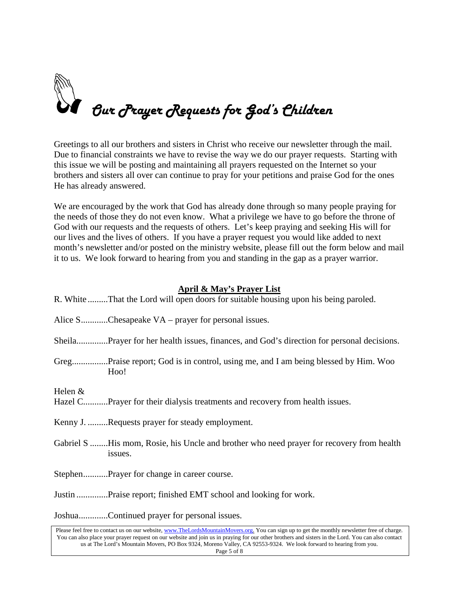

Greetings to all our brothers and sisters in Christ who receive our newsletter through the mail. Due to financial constraints we have to revise the way we do our prayer requests. Starting with this issue we will be posting and maintaining all prayers requested on the Internet so your brothers and sisters all over can continue to pray for your petitions and praise God for the ones He has already answered.

We are encouraged by the work that God has already done through so many people praying for the needs of those they do not even know. What a privilege we have to go before the throne of God with our requests and the requests of others. Let's keep praying and seeking His will for our lives and the lives of others. If you have a prayer request you would like added to next month's newsletter and/or posted on the ministry website, please fill out the form below and mail it to us. We look forward to hearing from you and standing in the gap as a prayer warrior.

#### **April & May's Prayer List**

| R. White That the Lord will open doors for suitable housing upon his being paroled.                  |
|------------------------------------------------------------------------------------------------------|
| Alice SChesapeake VA – prayer for personal issues.                                                   |
|                                                                                                      |
| Hoo!                                                                                                 |
| Helen $&$<br>Hazel CPrayer for their dialysis treatments and recovery from health issues.            |
| Kenny J. Requests prayer for steady employment.                                                      |
| Gabriel S  His mom, Rosie, his Uncle and brother who need prayer for recovery from health<br>issues. |
| StephenPrayer for change in career course.                                                           |
| Justin Praise report; finished EMT school and looking for work.                                      |
| JoshuaContinued prayer for personal issues.                                                          |

Please feel free to contact us on our website, ww[w.TheLordsMountainMovers.o](http://www.thelordsmountainmovers.org/)rg. You can sign up to get the monthly newsletter free of charge. You can also place your prayer request on our website and join us in praying for our other brothers and sisters in the Lord. You can also contact us at The Lord's Mountain Movers, PO Box 9324, Moreno Valley, CA 92553-9324. We look forward to hearing from you. Page 5 of 8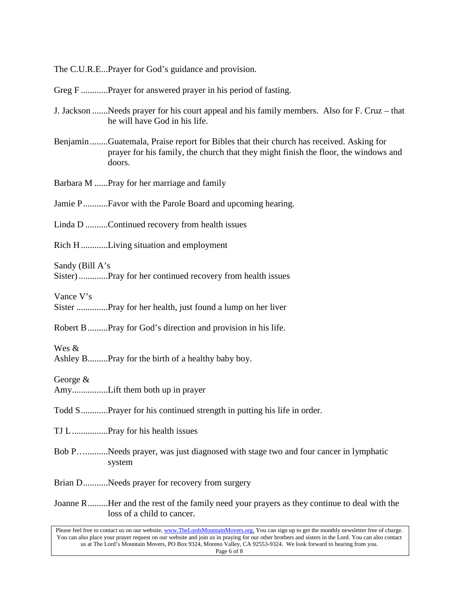The C.U.R.E...Prayer for God's guidance and provision.

Greg F .............Prayer for answered prayer in his period of fasting.

- J. Jackson .......Needs prayer for his court appeal and his family members. Also for F. Cruz that he will have God in his life.
- Benjamin........Guatemala, Praise report for Bibles that their church has received. Asking for prayer for his family, the church that they might finish the floor, the windows and doors.

Barbara M ......Pray for her marriage and family

Jamie P...........Favor with the Parole Board and upcoming hearing.

Linda D ..........Continued recovery from health issues

Rich H............Living situation and employment

Sandy (Bill A's

Sister).............Pray for her continued recovery from health issues

Vance V's

Sister ..............Pray for her health, just found a lump on her liver

Robert B.........Pray for God's direction and provision in his life.

Wes &

Ashley B.........Pray for the birth of a healthy baby boy.

George &

Amy................Lift them both up in prayer

Todd S............Prayer for his continued strength in putting his life in order.

TJ L................Pray for his health issues

Bob P…..........Needs prayer, was just diagnosed with stage two and four cancer in lymphatic system

Brian D...........Needs prayer for recovery from surgery

Joanne R.........Her and the rest of the family need your prayers as they continue to deal with the loss of a child to cancer.

Please feel free to contact us on our website, ww[w.TheLordsMountainMovers.o](http://www.thelordsmountainmovers.org/)rg. You can sign up to get the monthly newsletter free of charge. You can also place your prayer request on our website and join us in praying for our other brothers and sisters in the Lord. You can also contact us at The Lord's Mountain Movers, PO Box 9324, Moreno Valley, CA 92553-9324. We look forward to hearing from you. Page 6 of 8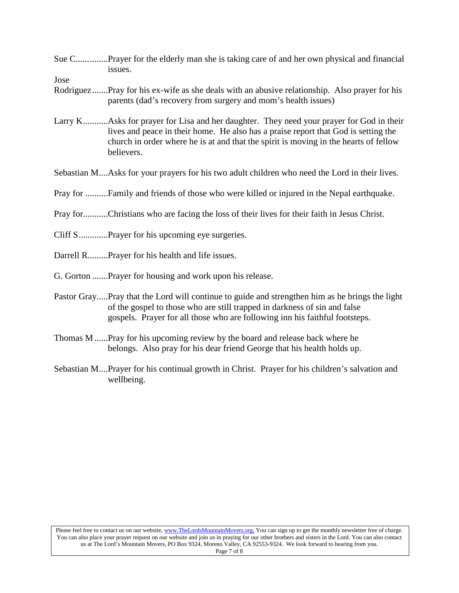Sue C..............Prayer for the elderly man she is taking care of and her own physical and financial issues.

Jose

- Rodriguez.......Pray for his ex-wife as she deals with an abusive relationship. Also prayer for his parents (dad's recovery from surgery and mom's health issues)
- Larry K...........Asks for prayer for Lisa and her daughter. They need your prayer for God in their lives and peace in their home. He also has a praise report that God is setting the church in order where he is at and that the spirit is moving in the hearts of fellow believers.

Sebastian M....Asks for your prayers for his two adult children who need the Lord in their lives.

Pray for ..........Family and friends of those who were killed or injured in the Nepal earthquake.

Pray for...........Christians who are facing the loss of their lives for their faith in Jesus Christ.

- Cliff S.............Prayer for his upcoming eye surgeries.
- Darrell R.........Prayer for his health and life issues.
- G. Gorton .......Prayer for housing and work upon his release.
- Pastor Gray.....Pray that the Lord will continue to guide and strengthen him as he brings the light of the gospel to those who are still trapped in darkness of sin and false gospels. Prayer for all those who are following inn his faithful footsteps.
- Thomas M......Pray for his upcoming review by the board and release back where he belongs. Also pray for his dear friend George that his health holds up.
- Sebastian M....Prayer for his continual growth in Christ. Prayer for his children's salvation and wellbeing.